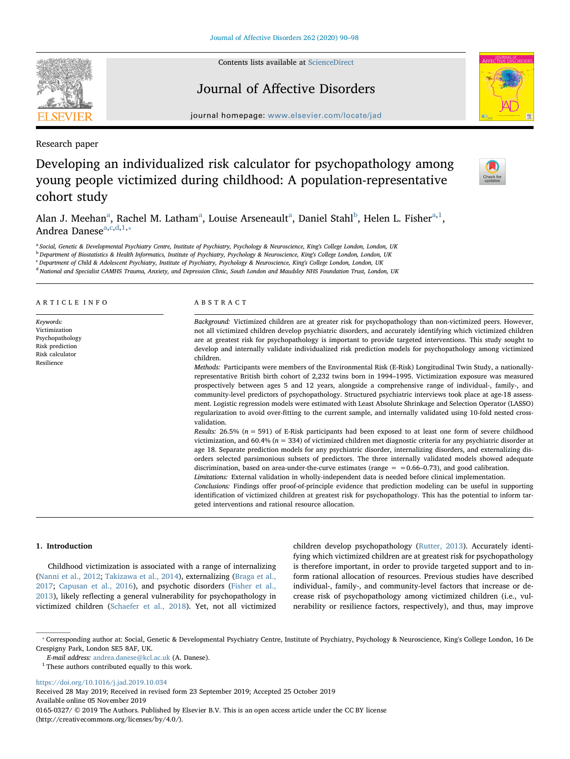Contents lists available at [ScienceDirect](http://www.sciencedirect.com/science/journal/01650327)

# Journal of Affective Disorders

journal homepage: [www.elsevier.com/locate/jad](https://www.elsevier.com/locate/jad)

Research paper

# Developing an individualized risk calculator for psychopathology among young people victimized during childhood: A population-representative cohort study

Al[a](#page-0-0)n J. Meehan<sup>a</sup>, Rachel M. Latham<sup>a</sup>, Louise Arseneault<sup>a</sup>, Daniel Stahl<sup>[b](#page-0-1)</sup>, Helen L. Fisher<sup>[a,](#page-0-0) [1](#page-0-2)</sup>, Andre[a](#page-0-0) Danese<sup>a[,c](#page-0-3)[,d,](#page-0-4)[1](#page-0-2),</sup>

<span id="page-0-0"></span>a Social, Genetic & Developmental Psychiatry Centre, Institute of Psychiatry, Psychology & Neuroscience, King's College London, London, UK

<span id="page-0-3"></span><span id="page-0-1"></span><sup>b</sup> Department of Biostatistics & Health Informatics, Institute of Psychiatry, Psychology & Neuroscience, King's College London, London, UK <sup>c</sup> Department of Child & Adolescent Psychiatry, Institute of Psychiatry, Psychology & Neuroscience, King's College London, London, UK

<span id="page-0-4"></span><sup>d</sup> National and Specialist CAMHS Trauma, Anxiety, and Depression Clinic, South London and Maudsley NHS Foundation Trust, London, UK

## ARTICLE INFO

Keywords: Victimization Psychopathology Risk prediction Risk calculator Resilience

## ABSTRACT

Background: Victimized children are at greater risk for psychopathology than non-victimized peers. However, not all victimized children develop psychiatric disorders, and accurately identifying which victimized children are at greatest risk for psychopathology is important to provide targeted interventions. This study sought to develop and internally validate individualized risk prediction models for psychopathology among victimized children.

Methods: Participants were members of the Environmental Risk (E-Risk) Longitudinal Twin Study, a nationallyrepresentative British birth cohort of 2,232 twins born in 1994–1995. Victimization exposure was measured prospectively between ages 5 and 12 years, alongside a comprehensive range of individual-, family-, and community-level predictors of psychopathology. Structured psychiatric interviews took place at age-18 assessment. Logistic regression models were estimated with Least Absolute Shrinkage and Selection Operator (LASSO) regularization to avoid over-fitting to the current sample, and internally validated using 10-fold nested crossvalidation.

Results: 26.5% ( $n = 591$ ) of E-Risk participants had been exposed to at least one form of severe childhood victimization, and 60.4% ( $n = 334$ ) of victimized children met diagnostic criteria for any psychiatric disorder at age 18. Separate prediction models for any psychiatric disorder, internalizing disorders, and externalizing disorders selected parsimonious subsets of predictors. The three internally validated models showed adequate discrimination, based on area-under-the-curve estimates (range  $=$  = 0.66–0.73), and good calibration.

Limitations: External validation in wholly-independent data is needed before clinical implementation.

Conclusions: Findings offer proof-of-principle evidence that prediction modeling can be useful in supporting identification of victimized children at greatest risk for psychopathology. This has the potential to inform targeted interventions and rational resource allocation.

# 1. Introduction

Childhood victimization is associated with a range of internalizing ([Nanni et al., 2012](#page-8-0); [Takizawa et al., 2014\)](#page-8-1), externalizing ([Braga et al.,](#page-7-0) [2017;](#page-7-0) [Capusan et al., 2016\)](#page-7-1), and psychotic disorders ([Fisher et al.,](#page-7-2) [2013\)](#page-7-2), likely reflecting a general vulnerability for psychopathology in victimized children [\(Schaefer et al., 2018](#page-8-2)). Yet, not all victimized children develop psychopathology ([Rutter, 2013\)](#page-8-3). Accurately identifying which victimized children are at greatest risk for psychopathology is therefore important, in order to provide targeted support and to inform rational allocation of resources. Previous studies have described individual-, family-, and community-level factors that increase or decrease risk of psychopathology among victimized children (i.e., vulnerability or resilience factors, respectively), and thus, may improve

<https://doi.org/10.1016/j.jad.2019.10.034>

Received 28 May 2019; Received in revised form 23 September 2019; Accepted 25 October 2019 Available online 05 November 2019 0165-0327/ © 2019 The Authors. Published by Elsevier B.V. This is an open access article under the CC BY license (http://creativecommons.org/licenses/by/4.0/).





 $\frac{N}{2}$ 

<span id="page-0-5"></span><sup>⁎</sup> Corresponding author at: Social, Genetic & Developmental Psychiatry Centre, Institute of Psychiatry, Psychology & Neuroscience, King's College London, 16 De Crespigny Park, London SE5 8AF, UK.

E-mail address: [andrea.danese@kcl.ac.uk](mailto:andrea.danese@kcl.ac.uk) (A. Danese).

<span id="page-0-2"></span> $^{\rm 1}$  These authors contributed equally to this work.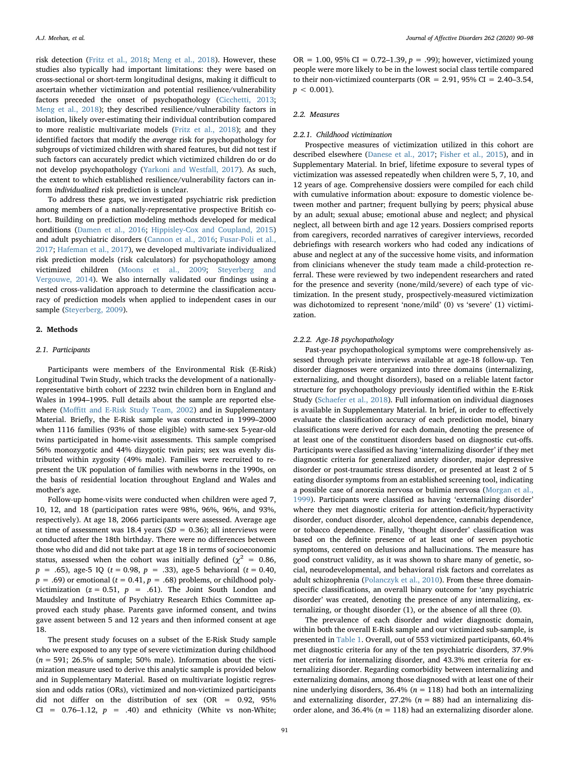risk detection ([Fritz et al., 2018](#page-7-3); [Meng et al., 2018\)](#page-7-4). However, these studies also typically had important limitations: they were based on cross-sectional or short-term longitudinal designs, making it difficult to ascertain whether victimization and potential resilience/vulnerability factors preceded the onset of psychopathology [\(Cicchetti, 2013](#page-7-5); [Meng et al., 2018](#page-7-4)); they described resilience/vulnerability factors in isolation, likely over-estimating their individual contribution compared to more realistic multivariate models ([Fritz et al., 2018\)](#page-7-3); and they identified factors that modify the average risk for psychopathology for subgroups of victimized children with shared features, but did not test if such factors can accurately predict which victimized children do or do not develop psychopathology ([Yarkoni and Westfall, 2017\)](#page-8-4). As such, the extent to which established resilience/vulnerability factors can inform individualized risk prediction is unclear.

To address these gaps, we investigated psychiatric risk prediction among members of a nationally-representative prospective British cohort. Building on prediction modeling methods developed for medical conditions ([Damen et al., 2016](#page-7-6); [Hippisley-Cox and Coupland, 2015\)](#page-7-7) and adult psychiatric disorders [\(Cannon et al., 2016;](#page-7-8) [Fusar-Poli et al.,](#page-7-9) [2017;](#page-7-9) [Hafeman et al., 2017](#page-7-10)), we developed multivariate individualized risk prediction models (risk calculators) for psychopathology among victimized children ([Moons et al., 2009;](#page-8-5) [Steyerberg and](#page-8-6) [Vergouwe, 2014](#page-8-6)). We also internally validated our findings using a nested cross-validation approach to determine the classification accuracy of prediction models when applied to independent cases in our sample ([Steyerberg, 2009](#page-8-7)).

#### 2. Methods

#### 2.1. Participants

Participants were members of the Environmental Risk (E-Risk) Longitudinal Twin Study, which tracks the development of a nationallyrepresentative birth cohort of 2232 twin children born in England and Wales in 1994–1995. Full details about the sample are reported elsewhere (Moffi[tt and E-Risk Study Team, 2002](#page-7-11)) and in Supplementary Material. Briefly, the E-Risk sample was constructed in 1999–2000 when 1116 families (93% of those eligible) with same-sex 5-year-old twins participated in home-visit assessments. This sample comprised 56% monozygotic and 44% dizygotic twin pairs; sex was evenly distributed within zygosity (49% male). Families were recruited to represent the UK population of families with newborns in the 1990s, on the basis of residential location throughout England and Wales and mother's age.

Follow-up home-visits were conducted when children were aged 7, 10, 12, and 18 (participation rates were 98%, 96%, 96%, and 93%, respectively). At age 18, 2066 participants were assessed. Average age at time of assessment was 18.4 years ( $SD = 0.36$ ); all interviews were conducted after the 18th birthday. There were no differences between those who did and did not take part at age 18 in terms of socioeconomic status, assessed when the cohort was initially defined ( $\chi^2$  = 0.86,  $p = .65$ ), age-5 IQ ( $t = 0.98$ ,  $p = .33$ ), age-5 behavioral ( $t = 0.40$ ,  $p = .69$ ) or emotional ( $t = 0.41$ ,  $p = .68$ ) problems, or childhood polyvictimization ( $z = 0.51$ ,  $p = .61$ ). The Joint South London and Maudsley and Institute of Psychiatry Research Ethics Committee approved each study phase. Parents gave informed consent, and twins gave assent between 5 and 12 years and then informed consent at age 18.

The present study focuses on a subset of the E-Risk Study sample who were exposed to any type of severe victimization during childhood  $(n = 591; 26.5\%$  of sample; 50% male). Information about the victimization measure used to derive this analytic sample is provided below and in Supplementary Material. Based on multivariate logistic regression and odds ratios (ORs), victimized and non-victimized participants did not differ on the distribution of sex (OR = 0.92, 95%  $CI = 0.76-1.12$ ,  $p = .40$  and ethnicity (White vs non-White; OR = 1.00, 95% CI = 0.72–1.39,  $p = .99$ ); however, victimized young people were more likely to be in the lowest social class tertile compared to their non-victimized counterparts (OR = 2.91, 95% CI = 2.40–3.54,  $p < 0.001$ ).

#### 2.2. Measures

# 2.2.1. Childhood victimization

Prospective measures of victimization utilized in this cohort are described elsewhere ([Danese et al., 2017;](#page-7-12) [Fisher et al., 2015](#page-7-13)), and in Supplementary Material. In brief, lifetime exposure to several types of victimization was assessed repeatedly when children were 5, 7, 10, and 12 years of age. Comprehensive dossiers were compiled for each child with cumulative information about: exposure to domestic violence between mother and partner; frequent bullying by peers; physical abuse by an adult; sexual abuse; emotional abuse and neglect; and physical neglect, all between birth and age 12 years. Dossiers comprised reports from caregivers, recorded narratives of caregiver interviews, recorded debriefings with research workers who had coded any indications of abuse and neglect at any of the successive home visits, and information from clinicians whenever the study team made a child-protection referral. These were reviewed by two independent researchers and rated for the presence and severity (none/mild/severe) of each type of victimization. In the present study, prospectively-measured victimization was dichotomized to represent 'none/mild' (0) vs 'severe' (1) victimization.

#### 2.2.2. Age-18 psychopathology

Past-year psychopathological symptoms were comprehensively assessed through private interviews available at age-18 follow-up. Ten disorder diagnoses were organized into three domains (internalizing, externalizing, and thought disorders), based on a reliable latent factor structure for psychopathology previously identified within the E-Risk Study [\(Schaefer et al., 2018](#page-8-2)). Full information on individual diagnoses is available in Supplementary Material. In brief, in order to effectively evaluate the classification accuracy of each prediction model, binary classifications were derived for each domain, denoting the presence of at least one of the constituent disorders based on diagnostic cut-offs. Participants were classified as having 'internalizing disorder' if they met diagnostic criteria for generalized anxiety disorder, major depressive disorder or post-traumatic stress disorder, or presented at least 2 of 5 eating disorder symptoms from an established screening tool, indicating a possible case of anorexia nervosa or bulimia nervosa ([Morgan et al.,](#page-8-8) [1999\)](#page-8-8). Participants were classified as having 'externalizing disorder' where they met diagnostic criteria for attention-deficit/hyperactivity disorder, conduct disorder, alcohol dependence, cannabis dependence, or tobacco dependence. Finally, 'thought disorder' classification was based on the definite presence of at least one of seven psychotic symptoms, centered on delusions and hallucinations. The measure has good construct validity, as it was shown to share many of genetic, social, neurodevelopmental, and behavioral risk factors and correlates as adult schizophrenia [\(Polanczyk et al., 2010](#page-8-9)). From these three domainspecific classifications, an overall binary outcome for 'any psychiatric disorder' was created, denoting the presence of any internalizing, externalizing, or thought disorder (1), or the absence of all three (0).

The prevalence of each disorder and wider diagnostic domain, within both the overall E-Risk sample and our victimized sub-sample, is presented in [Table 1.](#page-2-0) Overall, out of 553 victimized participants, 60.4% met diagnostic criteria for any of the ten psychiatric disorders, 37.9% met criteria for internalizing disorder, and 43.3% met criteria for externalizing disorder. Regarding comorbidity between internalizing and externalizing domains, among those diagnosed with at least one of their nine underlying disorders, 36.4% ( $n = 118$ ) had both an internalizing and externalizing disorder,  $27.2\%$  ( $n = 88$ ) had an internalizing disorder alone, and 36.4% ( $n = 118$ ) had an externalizing disorder alone.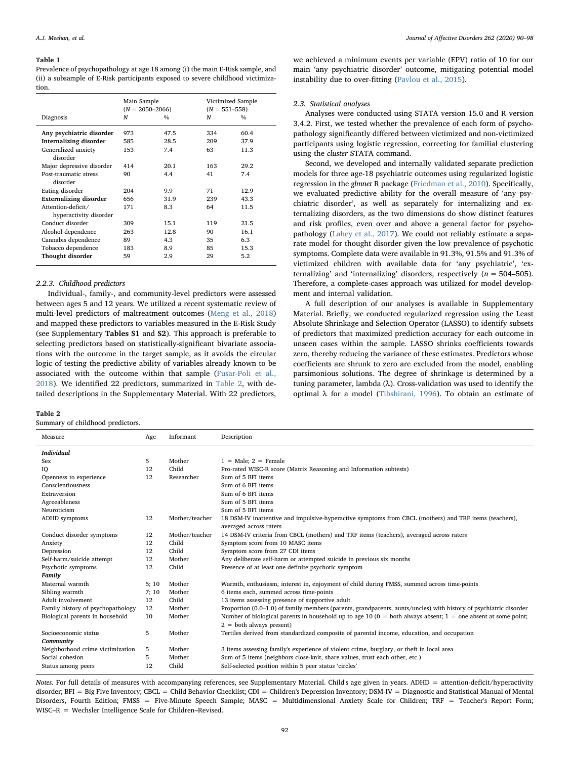#### <span id="page-2-0"></span>Table 1

Prevalence of psychopathology at age 18 among (i) the main E-Risk sample, and (ii) a subsample of E-Risk participants exposed to severe childhood victimization.

|                               | Main Sample<br>$(N = 2050 - 2066)$ |               | Victimized Sample<br>$(N = 551 - 558)$ |               |
|-------------------------------|------------------------------------|---------------|----------------------------------------|---------------|
| Diagnosis                     | N                                  | $\frac{0}{0}$ | N                                      | $\frac{0}{0}$ |
| Any psychiatric disorder      | 973                                | 47.5          | 334                                    | 60.4          |
| <b>Internalizing disorder</b> | 585                                | 28.5          | 209                                    | 37.9          |
| Generalized anxiety           | 153                                | 7.4           | 63                                     | 11.3          |
| disorder                      |                                    |               |                                        |               |
| Major depressive disorder     | 414                                | 20.1          | 163                                    | 29.2          |
| Post-traumatic stress         | 90                                 | 4.4           | 41                                     | 7.4           |
| disorder                      |                                    |               |                                        |               |
| Eating disorder               | 204                                | 9.9           | 71                                     | 12.9          |
| <b>Externalizing disorder</b> | 656                                | 31.9          | 239                                    | 43.3          |
| Attention-deficit/            | 171                                | 8.3           | 64                                     | 11.5          |
| hyperactivity disorder        |                                    |               |                                        |               |
| Conduct disorder              | 309                                | 15.1          | 119                                    | 21.5          |
| Alcohol dependence            | 263                                | 12.8          | 90                                     | 16.1          |
| Cannabis dependence           | 89                                 | 4.3           | 35                                     | 6.3           |
| Tobacco dependence            | 183                                | 8.9           | 85                                     | 15.3          |
| Thought disorder              | 59                                 | 2.9           | 29                                     | 5.2           |

# 2.2.3. Childhood predictors

Individual-, family-, and community-level predictors were assessed between ages 5 and 12 years. We utilized a recent systematic review of multi-level predictors of maltreatment outcomes ([Meng et al., 2018\)](#page-7-4) and mapped these predictors to variables measured in the E-Risk Study (see Supplementary Tables S1 and S2). This approach is preferable to selecting predictors based on statistically-significant bivariate associations with the outcome in the target sample, as it avoids the circular logic of testing the predictive ability of variables already known to be associated with the outcome within that sample ([Fusar-Poli et al.,](#page-7-14) [2018\)](#page-7-14). We identified 22 predictors, summarized in [Table 2,](#page-2-1) with detailed descriptions in the Supplementary Material. With 22 predictors,

## <span id="page-2-1"></span>Table 2

Summary of childhood predictors.

we achieved a minimum events per variable (EPV) ratio of 10 for our main 'any psychiatric disorder' outcome, mitigating potential model instability due to over-fitting [\(Pavlou et al., 2015\)](#page-8-10).

## 2.3. Statistical analyses

Analyses were conducted using STATA version 15.0 and R version 3.4.2. First, we tested whether the prevalence of each form of psychopathology significantly differed between victimized and non-victimized participants using logistic regression, correcting for familial clustering using the cluster STATA command.

Second, we developed and internally validated separate prediction models for three age-18 psychiatric outcomes using regularized logistic regression in the glmnet R package [\(Friedman et al., 2010\)](#page-7-15). Specifically, we evaluated predictive ability for the overall measure of 'any psychiatric disorder', as well as separately for internalizing and externalizing disorders, as the two dimensions do show distinct features and risk profiles, even over and above a general factor for psychopathology ([Lahey et al., 2017](#page-7-16)). We could not reliably estimate a separate model for thought disorder given the low prevalence of psychotic symptoms. Complete data were available in 91.3%, 91.5% and 91.3% of victimized children with available data for 'any psychiatric', 'externalizing' and 'internalizing' disorders, respectively  $(n = 504-505)$ . Therefore, a complete-cases approach was utilized for model development and internal validation.

A full description of our analyses is available in Supplementary Material. Briefly, we conducted regularized regression using the Least Absolute Shrinkage and Selection Operator (LASSO) to identify subsets of predictors that maximized prediction accuracy for each outcome in unseen cases within the sample. LASSO shrinks coefficients towards zero, thereby reducing the variance of these estimates. Predictors whose coefficients are shrunk to zero are excluded from the model, enabling parsimonious solutions. The degree of shrinkage is determined by a tuning parameter, lambda (λ). Cross-validation was used to identify the optimal λ for a model ([Tibshirani, 1996](#page-8-11)). To obtain an estimate of

| Measure                           | Age  | Informant      | Description                                                                                                                                    |  |
|-----------------------------------|------|----------------|------------------------------------------------------------------------------------------------------------------------------------------------|--|
| <b>Individual</b>                 |      |                |                                                                                                                                                |  |
| Sex                               | 5    | Mother         | $1 =$ Male: $2 =$ Female                                                                                                                       |  |
| IQ                                | 12   | Child          | Pro-rated WISC-R score (Matrix Reasoning and Information subtests)                                                                             |  |
| Openness to experience            | 12   | Researcher     | Sum of 5 BFI items                                                                                                                             |  |
| Conscientiousness                 |      |                | Sum of 6 BFI items                                                                                                                             |  |
| Extraversion                      |      |                | Sum of 6 BFI items                                                                                                                             |  |
| Agreeableness                     |      |                | Sum of 5 BFI items                                                                                                                             |  |
| Neuroticism                       |      |                | Sum of 5 BFI items                                                                                                                             |  |
| ADHD symptoms                     | 12   | Mother/teacher | 18 DSM-IV inattentive and impulsive-hyperactive symptoms from CBCL (mothers) and TRF items (teachers),<br>averaged across raters               |  |
| Conduct disorder symptoms         | 12   | Mother/teacher | 14 DSM-IV criteria from CBCL (mothers) and TRF items (teachers), averaged across raters                                                        |  |
| Anxiety                           | 12   | Child          | Symptom score from 10 MASC items                                                                                                               |  |
| Depression                        | 12   | Child          | Symptom score from 27 CDI items                                                                                                                |  |
| Self-harm/suicide attempt         | 12   | Mother         | Any deliberate self-harm or attempted suicide in previous six months                                                                           |  |
| Psychotic symptoms                | 12   | Child          | Presence of at least one definite psychotic symptom                                                                                            |  |
| Family                            |      |                |                                                                                                                                                |  |
| Maternal warmth                   | 5:10 | Mother         | Warmth, enthusiasm, interest in, enjoyment of child during FMSS, summed across time-points                                                     |  |
| Sibling warmth                    | 7:10 | Mother         | 6 items each, summed across time-points                                                                                                        |  |
| Adult involvement                 | 12   | Child          | 13 items assessing presence of supportive adult                                                                                                |  |
| Family history of psychopathology | 12   | Mother         | Proportion (0.0-1.0) of family members (parents, grandparents, aunts/uncles) with history of psychiatric disorder                              |  |
| Biological parents in household   | 10   | Mother         | Number of biological parents in household up to age 10 ( $0 =$ both always absent; 1 = one absent at some point;<br>$2 = both always present)$ |  |
| Socioeconomic status              | 5    | Mother         | Tertiles derived from standardized composite of parental income, education, and occupation                                                     |  |
| Community                         |      |                |                                                                                                                                                |  |
| Neighborhood crime victimization  | 5    | Mother         | 3 items assessing family's experience of violent crime, burglary, or theft in local area                                                       |  |
| Social cohesion                   | 5    | Mother         | Sum of 5 items (neighbors close-knit, share values, trust each other, etc.)                                                                    |  |
| Status among peers                | 12   | Child          | Self-selected position within 5 peer status 'circles'                                                                                          |  |

Notes. For full details of measures with accompanying references, see Supplementary Material. Child's age given in years. ADHD = attention-deficit/hyperactivity disorder; BFI = Big Five Inventory; CBCL = Child Behavior Checklist; CDI = Children's Depression Inventory; DSM-IV = Diagnostic and Statistical Manual of Mental Disorders, Fourth Edition; FMSS = Five-Minute Speech Sample; MASC = Multidimensional Anxiety Scale for Children; TRF = Teacher's Report Form; WISC–R = Wechsler Intelligence Scale for Children–Revised.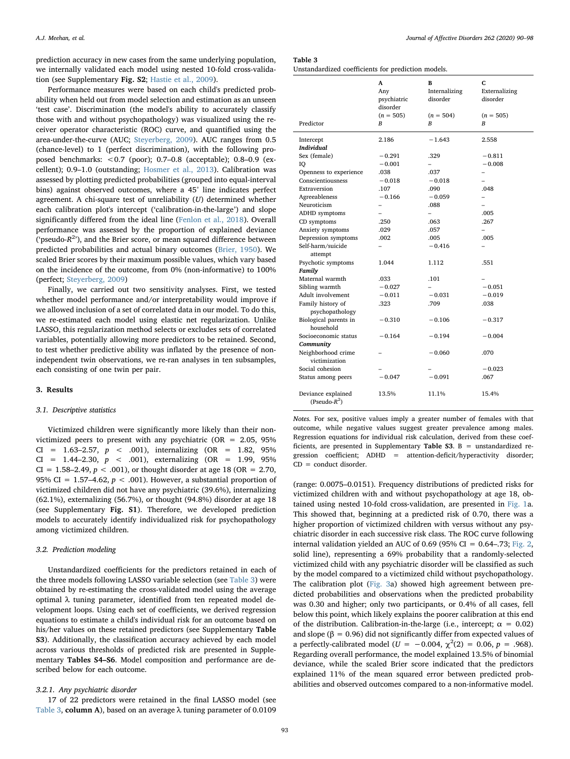prediction accuracy in new cases from the same underlying population, we internally validated each model using nested 10-fold cross-validation (see Supplementary Fig. S2; [Hastie et al., 2009\)](#page-7-17).

Performance measures were based on each child's predicted probability when held out from model selection and estimation as an unseen 'test case'. Discrimination (the model's ability to accurately classify those with and without psychopathology) was visualized using the receiver operator characteristic (ROC) curve, and quantified using the area-under-the-curve (AUC; [Steyerberg, 2009\)](#page-8-7). AUC ranges from 0.5 (chance-level) to 1 (perfect discrimination), with the following proposed benchmarks: <0.7 (poor); 0.7–0.8 (acceptable); 0.8–0.9 (excellent); 0.9–1.0 (outstanding; [Hosmer et al., 2013](#page-7-18)). Calibration was assessed by plotting predicted probabilities (grouped into equal-interval bins) against observed outcomes, where a 45° line indicates perfect agreement. A chi-square test of unreliability (U) determined whether each calibration plot's intercept ('calibration-in-the-large') and slope significantly differed from the ideal line ([Fenlon et al., 2018\)](#page-7-19). Overall performance was assessed by the proportion of explained deviance ('pseudo- $R^2$ '), and the Brier score, or mean squared difference between predicted probabilities and actual binary outcomes [\(Brier, 1950\)](#page-7-20). We scaled Brier scores by their maximum possible values, which vary based on the incidence of the outcome, from 0% (non-informative) to 100% (perfect; [Steyerberg, 2009](#page-8-7))

Finally, we carried out two sensitivity analyses. First, we tested whether model performance and/or interpretability would improve if we allowed inclusion of a set of correlated data in our model. To do this, we re-estimated each model using elastic net regularization. Unlike LASSO, this regularization method selects or excludes sets of correlated variables, potentially allowing more predictors to be retained. Second, to test whether predictive ability was inflated by the presence of nonindependent twin observations, we re-ran analyses in ten subsamples, each consisting of one twin per pair.

## 3. Results

# 3.1. Descriptive statistics

Victimized children were significantly more likely than their nonvictimized peers to present with any psychiatric (OR = 2.05, 95%  $CI = 1.63-2.57, p < .001$ , internalizing  $(OR = 1.82, 95\%)$  $CI = 1.44 - 2.30, p < .001$ , externalizing  $(OR = 1.99, 95\%)$  $CI = 1.58 - 2.49, p < .001$ , or thought disorder at age 18 (OR = 2.70, 95% CI = 1.57–4.62,  $p < .001$ ). However, a substantial proportion of victimized children did not have any psychiatric (39.6%), internalizing (62.1%), externalizing (56.7%), or thought (94.8%) disorder at age 18 (see Supplementary Fig. S1). Therefore, we developed prediction models to accurately identify individualized risk for psychopathology among victimized children.

#### 3.2. Prediction modeling

Unstandardized coefficients for the predictors retained in each of the three models following LASSO variable selection (see [Table 3](#page-3-0)) were obtained by re-estimating the cross-validated model using the average optimal λ tuning parameter, identified from ten repeated model development loops. Using each set of coefficients, we derived regression equations to estimate a child's individual risk for an outcome based on his/her values on these retained predictors (see Supplementary Table S3). Additionally, the classification accuracy achieved by each model across various thresholds of predicted risk are presented in Supplementary Tables S4–S6. Model composition and performance are described below for each outcome.

#### 3.2.1. Any psychiatric disorder

17 of 22 predictors were retained in the final LASSO model (see [Table 3,](#page-3-0) column A), based on an average  $\lambda$  tuning parameter of 0.0109

# <span id="page-3-0"></span>Table 3

Unstandardized coefficients for prediction models.

|                                        | A<br>Any<br>psychiatric<br>disorder | В<br>Internalizing<br>disorder | C<br>Externalizing<br>disorder |
|----------------------------------------|-------------------------------------|--------------------------------|--------------------------------|
| Predictor                              | $(n = 505)$<br>В                    | $(n = 504)$<br>B               | $(n = 505)$<br>B               |
| Intercept                              | 2.186                               | $-1.643$                       | 2.558                          |
| <b>Individual</b>                      |                                     |                                |                                |
| Sex (female)                           | $-0.291$                            | .329                           | $-0.811$                       |
| IO                                     | $-0.001$                            |                                | $-0.008$                       |
| Openness to experience                 | .038                                | .037                           |                                |
| Conscientiousness                      | $-0.018$                            | $-0.018$                       |                                |
| Extraversion                           | .107                                | .090                           | .048                           |
| Agreeableness                          | $-0.166$                            | $-0.059$                       |                                |
| Neuroticism                            |                                     | .088                           |                                |
| ADHD symptoms                          |                                     | $\overline{\phantom{0}}$       | .005                           |
| CD symptoms                            | .250                                | .063                           | .267                           |
| Anxiety symptoms                       | .029                                | .057                           | $=$                            |
| Depression symptoms                    | .002                                | .005                           | .005                           |
| Self-harm/suicide<br>attempt           |                                     | $-0.416$                       |                                |
| Psychotic symptoms<br>Family           | 1.044                               | 1.112                          | .551                           |
| Maternal warmth                        | .033                                | .101                           |                                |
| Sibling warmth                         | $-0.027$                            |                                | $-0.051$                       |
| Adult involvement                      | $-0.011$                            | $-0.031$                       | $-0.019$                       |
| Family history of<br>psychopathology   | .323                                | .709                           | .038                           |
| Biological parents in<br>household     | $-0.310$                            | $-0.106$                       | $-0.317$                       |
| Socioeconomic status                   | $-0.164$                            | $-0.194$                       | $-0.004$                       |
| Community                              |                                     |                                |                                |
| Neighborhood crime<br>victimization    |                                     | $-0.060$                       | .070                           |
| Social cohesion                        |                                     |                                | $-0.023$                       |
| Status among peers                     | $-0.047$                            | $-0.091$                       | .067                           |
| Deviance explained<br>(Pseudo- $R^2$ ) | 13.5%                               | 11.1%                          | 15.4%                          |

Notes. For sex, positive values imply a greater number of females with that outcome, while negative values suggest greater prevalence among males. Regression equations for individual risk calculation, derived from these coefficients, are presented in Supplementary Table S3. B = unstandardized regression coefficient; ADHD = attention-deficit/hyperactivity disorder; CD = conduct disorder.

(range: 0.0075–0.0151). Frequency distributions of predicted risks for victimized children with and without psychopathology at age 18, obtained using nested 10-fold cross-validation, are presented in [Fig. 1](#page-4-0)a. This showed that, beginning at a predicted risk of 0.70, there was a higher proportion of victimized children with versus without any psychiatric disorder in each successive risk class. The ROC curve following internal validation yielded an AUC of 0.69 (95% CI =  $0.64$ –.73; [Fig. 2](#page-5-0), solid line), representing a 69% probability that a randomly-selected victimized child with any psychiatric disorder will be classified as such by the model compared to a victimized child without psychopathology. The calibration plot [\(Fig. 3](#page-6-0)a) showed high agreement between predicted probabilities and observations when the predicted probability was 0.30 and higher; only two participants, or 0.4% of all cases, fell below this point, which likely explains the poorer calibration at this end of the distribution. Calibration-in-the-large (i.e., intercept;  $\alpha = 0.02$ ) and slope ( $\beta = 0.96$ ) did not significantly differ from expected values of a perfectly-calibrated model ( $U = -0.004$ ,  $\chi^2(2) = 0.06$ ,  $p = .968$ ). Regarding overall performance, the model explained 13.5% of binomial deviance, while the scaled Brier score indicated that the predictors explained 11% of the mean squared error between predicted probabilities and observed outcomes compared to a non-informative model.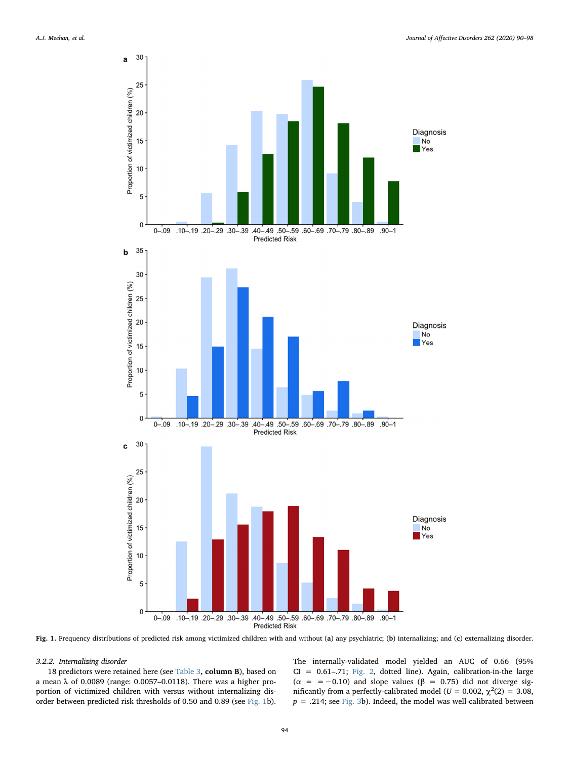<span id="page-4-0"></span>

Fig. 1. Frequency distributions of predicted risk among victimized children with and without (a) any psychiatric; (b) internalizing; and (c) externalizing disorder.

# 3.2.2. Internalizing disorder

18 predictors were retained here (see [Table 3](#page-3-0), column B), based on a mean λ of 0.0089 (range: 0.0057–0.0118). There was a higher proportion of victimized children with versus without internalizing disorder between predicted risk thresholds of 0.50 and 0.89 (see [Fig. 1](#page-4-0)b). The internally-validated model yielded an AUC of 0.66 (95% CI = 0.61–.71; [Fig. 2,](#page-5-0) dotted line). Again, calibration-in-the large (α = =−0.10) and slope values (β = 0.75) did not diverge significantly from a perfectly-calibrated model ( $U = 0.002$ ,  $\chi^2(2) = 3.08$ ,  $p = .214$ ; see [Fig. 3b](#page-6-0)). Indeed, the model was well-calibrated between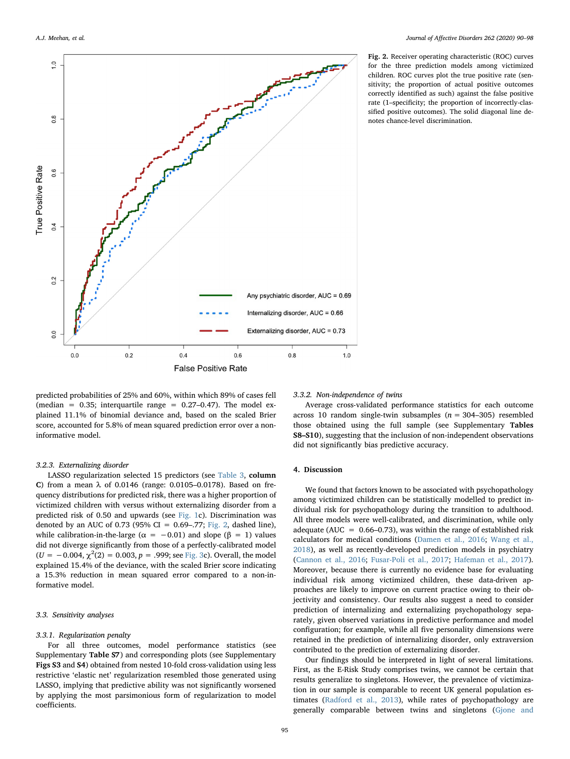<span id="page-5-0"></span>

Fig. 2. Receiver operating characteristic (ROC) curves for the three prediction models among victimized children. ROC curves plot the true positive rate (sensitivity; the proportion of actual positive outcomes correctly identified as such) against the false positive rate (1–specificity; the proportion of incorrectly-classified positive outcomes). The solid diagonal line denotes chance-level discrimination.

predicted probabilities of 25% and 60%, within which 89% of cases fell (median =  $0.35$ ; interquartile range =  $0.27-0.47$ ). The model explained 11.1% of binomial deviance and, based on the scaled Brier score, accounted for 5.8% of mean squared prediction error over a noninformative model.

# 3.2.3. Externalizing disorder

LASSO regularization selected 15 predictors (see [Table 3,](#page-3-0) column C) from a mean  $\lambda$  of 0.0146 (range: 0.0105–0.0178). Based on frequency distributions for predicted risk, there was a higher proportion of victimized children with versus without externalizing disorder from a predicted risk of 0.50 and upwards (see [Fig. 1c](#page-4-0)). Discrimination was denoted by an AUC of 0.73 (95% CI =  $0.69-77$ ; [Fig. 2,](#page-5-0) dashed line), while calibration-in-the-large ( $\alpha = -0.01$ ) and slope ( $\beta = 1$ ) values did not diverge significantly from those of a perfectly-calibrated model  $(U = -0.004, \chi^2(2) = 0.003, p = .999$ ; see [Fig. 3c](#page-6-0)). Overall, the model explained 15.4% of the deviance, with the scaled Brier score indicating a 15.3% reduction in mean squared error compared to a non-informative model.

# 3.3. Sensitivity analyses

#### 3.3.1. Regularization penalty

For all three outcomes, model performance statistics (see Supplementary Table S7) and corresponding plots (see Supplementary Figs S3 and S4) obtained from nested 10-fold cross-validation using less restrictive 'elastic net' regularization resembled those generated using LASSO, implying that predictive ability was not significantly worsened by applying the most parsimonious form of regularization to model coefficients.

# 3.3.2. Non-independence of twins

Average cross-validated performance statistics for each outcome across 10 random single-twin subsamples ( $n = 304-305$ ) resembled those obtained using the full sample (see Supplementary Tables S8–S10), suggesting that the inclusion of non-independent observations did not significantly bias predictive accuracy.

# 4. Discussion

We found that factors known to be associated with psychopathology among victimized children can be statistically modelled to predict individual risk for psychopathology during the transition to adulthood. All three models were well-calibrated, and discrimination, while only adequate (AUC =  $0.66-0.73$ ), was within the range of established risk calculators for medical conditions [\(Damen et al., 2016](#page-7-6); [Wang et al.,](#page-8-12) [2018\)](#page-8-12), as well as recently-developed prediction models in psychiatry ([Cannon et al., 2016](#page-7-8); [Fusar-Poli et al., 2017](#page-7-9); [Hafeman et al., 2017](#page-7-10)). Moreover, because there is currently no evidence base for evaluating individual risk among victimized children, these data-driven approaches are likely to improve on current practice owing to their objectivity and consistency. Our results also suggest a need to consider prediction of internalizing and externalizing psychopathology separately, given observed variations in predictive performance and model configuration; for example, while all five personality dimensions were retained in the prediction of internalizing disorder, only extraversion contributed to the prediction of externalizing disorder.

Our findings should be interpreted in light of several limitations. First, as the E-Risk Study comprises twins, we cannot be certain that results generalize to singletons. However, the prevalence of victimization in our sample is comparable to recent UK general population estimates ([Radford et al., 2013](#page-8-13)), while rates of psychopathology are generally comparable between twins and singletons ([Gjone and](#page-7-21)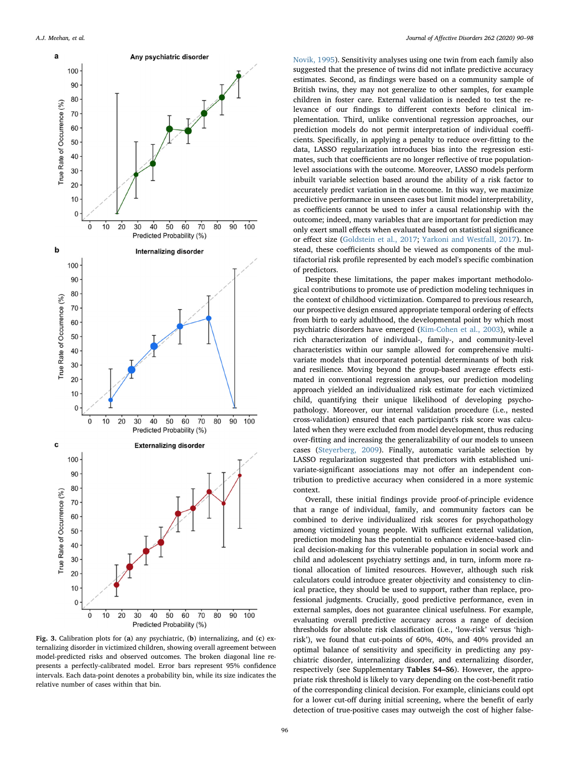<span id="page-6-0"></span>

Fig. 3. Calibration plots for (a) any psychiatric, (b) internalizing, and (c) externalizing disorder in victimized children, showing overall agreement between model-predicted risks and observed outcomes. The broken diagonal line represents a perfectly-calibrated model. Error bars represent 95% confidence intervals. Each data-point denotes a probability bin, while its size indicates the relative number of cases within that bin.

[Novik, 1995\)](#page-7-21). Sensitivity analyses using one twin from each family also suggested that the presence of twins did not inflate predictive accuracy estimates. Second, as findings were based on a community sample of British twins, they may not generalize to other samples, for example children in foster care. External validation is needed to test the relevance of our findings to different contexts before clinical implementation. Third, unlike conventional regression approaches, our prediction models do not permit interpretation of individual coefficients. Specifically, in applying a penalty to reduce over-fitting to the data, LASSO regularization introduces bias into the regression estimates, such that coefficients are no longer reflective of true populationlevel associations with the outcome. Moreover, LASSO models perform inbuilt variable selection based around the ability of a risk factor to accurately predict variation in the outcome. In this way, we maximize predictive performance in unseen cases but limit model interpretability, as coefficients cannot be used to infer a causal relationship with the outcome; indeed, many variables that are important for prediction may only exert small effects when evaluated based on statistical significance or effect size [\(Goldstein et al., 2017](#page-7-22); [Yarkoni and Westfall, 2017\)](#page-8-4). Instead, these coefficients should be viewed as components of the multifactorial risk profile represented by each model's specific combination of predictors.

Despite these limitations, the paper makes important methodological contributions to promote use of prediction modeling techniques in the context of childhood victimization. Compared to previous research, our prospective design ensured appropriate temporal ordering of effects from birth to early adulthood, the developmental point by which most psychiatric disorders have emerged [\(Kim-Cohen et al., 2003\)](#page-7-23), while a rich characterization of individual-, family-, and community-level characteristics within our sample allowed for comprehensive multivariate models that incorporated potential determinants of both risk and resilience. Moving beyond the group-based average effects estimated in conventional regression analyses, our prediction modeling approach yielded an individualized risk estimate for each victimized child, quantifying their unique likelihood of developing psychopathology. Moreover, our internal validation procedure (i.e., nested cross-validation) ensured that each participant's risk score was calculated when they were excluded from model development, thus reducing over-fitting and increasing the generalizability of our models to unseen cases ([Steyerberg, 2009](#page-8-7)). Finally, automatic variable selection by LASSO regularization suggested that predictors with established univariate-significant associations may not offer an independent contribution to predictive accuracy when considered in a more systemic context.

Overall, these initial findings provide proof-of-principle evidence that a range of individual, family, and community factors can be combined to derive individualized risk scores for psychopathology among victimized young people. With sufficient external validation, prediction modeling has the potential to enhance evidence-based clinical decision-making for this vulnerable population in social work and child and adolescent psychiatry settings and, in turn, inform more rational allocation of limited resources. However, although such risk calculators could introduce greater objectivity and consistency to clinical practice, they should be used to support, rather than replace, professional judgments. Crucially, good predictive performance, even in external samples, does not guarantee clinical usefulness. For example, evaluating overall predictive accuracy across a range of decision thresholds for absolute risk classification (i.e., 'low-risk' versus 'highrisk'), we found that cut-points of 60%, 40%, and 40% provided an optimal balance of sensitivity and specificity in predicting any psychiatric disorder, internalizing disorder, and externalizing disorder, respectively (see Supplementary Tables S4–S6). However, the appropriate risk threshold is likely to vary depending on the cost-benefit ratio of the corresponding clinical decision. For example, clinicians could opt for a lower cut-off during initial screening, where the benefit of early detection of true-positive cases may outweigh the cost of higher false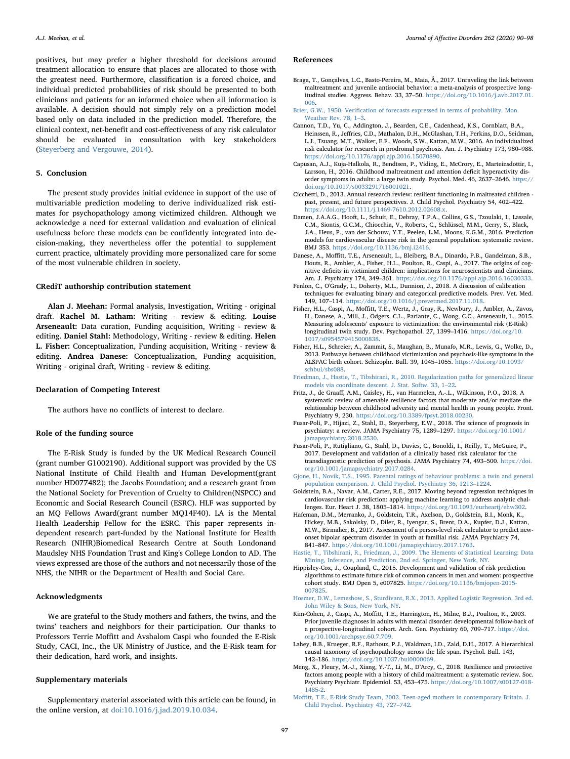positives, but may prefer a higher threshold for decisions around treatment allocation to ensure that places are allocated to those with the greatest need. Furthermore, classification is a forced choice, and individual predicted probabilities of risk should be presented to both clinicians and patients for an informed choice when all information is available. A decision should not simply rely on a prediction model based only on data included in the prediction model. Therefore, the clinical context, net-benefit and cost-effectiveness of any risk calculator should be evaluated in consultation with key stakeholders ([Steyerberg and Vergouwe, 2014\)](#page-8-6).

# 5. Conclusion

The present study provides initial evidence in support of the use of multivariable prediction modeling to derive individualized risk estimates for psychopathology among victimized children. Although we acknowledge a need for external validation and evaluation of clinical usefulness before these models can be confidently integrated into decision-making, they nevertheless offer the potential to supplement current practice, ultimately providing more personalized care for some of the most vulnerable children in society.

# CRediT authorship contribution statement

Alan J. Meehan: Formal analysis, Investigation, Writing - original draft. Rachel M. Latham: Writing - review & editing. Louise Arseneault: Data curation, Funding acquisition, Writing - review & editing. Daniel Stahl: Methodology, Writing - review & editing. Helen L. Fisher: Conceptualization, Funding acquisition, Writing - review & editing. Andrea Danese: Conceptualization, Funding acquisition, Writing - original draft, Writing - review & editing.

#### Declaration of Competing Interest

The authors have no conflicts of interest to declare.

# Role of the funding source

The E-Risk Study is funded by the UK Medical Research Council (grant number G1002190). Additional support was provided by the US National Institute of Child Health and Human Development(grant number HD077482); the Jacobs Foundation; and a research grant from the National Society for Prevention of Cruelty to Children(NSPCC) and Economic and Social Research Council (ESRC). HLF was supported by an MQ Fellows Award(grant number MQ14F40). LA is the Mental Health Leadership Fellow for the ESRC. This paper represents independent research part-funded by the National Institute for Health Research (NIHR)Biomedical Research Centre at South Londonand Maudsley NHS Foundation Trust and King's College London to AD. The views expressed are those of the authors and not necessarily those of the NHS, the NIHR or the Department of Health and Social Care.

## Acknowledgments

We are grateful to the Study mothers and fathers, the twins, and the twins' teachers and neighbors for their participation. Our thanks to Professors Terrie Moffitt and Avshalom Caspi who founded the E-Risk Study, CACI, Inc., the UK Ministry of Justice, and the E-Risk team for their dedication, hard work, and insights.

### Supplementary materials

Supplementary material associated with this article can be found, in the online version, at [doi:10.1016/j.jad.2019.10.034](https://doi.org/10.1016/j.jad.2019.10.034).

## References

- <span id="page-7-0"></span>Braga, T., Gonçalves, L.C., Basto-Pereira, M., Maia, Â., 2017. Unraveling the link between maltreatment and juvenile antisocial behavior: a meta-analysis of prospective longitudinal studies. Aggress. Behav. 33, 37–50. [https://doi.org/10.1016/j.avb.2017.01.](https://doi.org/10.1016/j.avb.2017.01.006) [006](https://doi.org/10.1016/j.avb.2017.01.006).
- <span id="page-7-20"></span>Brier, G.W., 1950. Verifi[cation of forecasts expressed in terms of probability. Mon.](http://refhub.elsevier.com/S0165-0327(19)31406-5/sbref0002) [Weather Rev. 78, 1](http://refhub.elsevier.com/S0165-0327(19)31406-5/sbref0002)–3.
- <span id="page-7-8"></span>Cannon, T.D., Yu, C., Addington, J., Bearden, C.E., Cadenhead, K.S., Cornblatt, B.A., Heinssen, R., Jeffries, C.D., Mathalon, D.H., McGlashan, T.H., Perkins, D.O., Seidman, L.J., Tsuang, M.T., Walker, E.F., Woods, S.W., Kattan, M.W., 2016. An individualized risk calculator for research in prodromal psychosis. Am. J. Psychiatry 173, 980–988. [https://doi.org/10.1176/appi.ajp.2016.15070890.](https://doi.org/10.1176/appi.ajp.2016.15070890)
- <span id="page-7-1"></span>Capusan, A.J., Kuja-Halkola, R., Bendtsen, P., Viding, E., McCrory, E., Marteinsdottir, I., Larsson, H., 2016. Childhood maltreatment and attention deficit hyperactivity disorder symptoms in adults: a large twin study. Psychol. Med. 46, 2637–2646. [https://](https://doi.org/10.1017/s0033291716001021) [doi.org/10.1017/s0033291716001021](https://doi.org/10.1017/s0033291716001021).
- <span id="page-7-5"></span>Cicchetti, D., 2013. Annual research review: resilient functioning in maltreated children past, present, and future perspectives. J. Child Psychol. Psychiatry 54, 402–422. [https://doi.org/10.1111/j.1469-7610.2012.02608.x.](https://doi.org/10.1111/j.1469-7610.2012.02608.x)
- <span id="page-7-6"></span>Damen, J.A.A.G., Hooft, L., Schuit, E., Debray, T.P.A., Collins, G.S., Tzoulaki, I., Lassale, C.M., Siontis, G.C.M., Chiocchia, V., Roberts, C., Schlüssel, M.M., Gerry, S., Black, J.A., Heus, P., van der Schouw, Y.T., Peelen, L.M., Moons, K.G.M., 2016. Prediction models for cardiovascular disease risk in the general population: systematic review. BMJ 353. [https://doi.org/10.1136/bmj.i2416.](https://doi.org/10.1136/bmj.i2416)
- <span id="page-7-12"></span>Danese, A., Moffitt, T.E., Arseneault, L., Bleiberg, B.A., Dinardo, P.B., Gandelman, S.B., Houts, R., Ambler, A., Fisher, H.L., Poulton, R., Caspi, A., 2017. The origins of cognitive deficits in victimized children: implications for neuroscientists and clinicians. Am. J. Psychiatry 174, 349–361. <https://doi.org/10.1176/appi.ajp.2016.16030333>.
- <span id="page-7-19"></span>Fenlon, C., O'Grady, L., Doherty, M.L., Dunnion, J., 2018. A discussion of calibration techniques for evaluating binary and categorical predictive models. Prev. Vet. Med. 149, 107–114. [https://doi.org/10.1016/j.prevetmed.2017.11.018.](https://doi.org/10.1016/j.prevetmed.2017.11.018)
- <span id="page-7-13"></span>Fisher, H.L., Caspi, A., Moffitt, T.E., Wertz, J., Gray, R., Newbury, J., Ambler, A., Zavos, H., Danese, A., Mill, J., Odgers, C.L., Pariante, C., Wong, C.C., Arseneault, L., 2015. Measuring adolescents' exposure to victimization: the environmental risk (E-Risk) longitudinal twin study. Dev. Psychopathol. 27, 1399–1416. [https://doi.org/10.](https://doi.org/10.1017/s0954579415000838) [1017/s0954579415000838.](https://doi.org/10.1017/s0954579415000838)
- <span id="page-7-2"></span>Fisher, H.L., Schreier, A., Zammit, S., Maughan, B., Munafo, M.R., Lewis, G., Wolke, D., 2013. Pathways between childhood victimization and psychosis-like symptoms in the ALSPAC birth cohort. Schizophr. Bull. 39, 1045–1055. [https://doi.org/10.1093/](https://doi.org/10.1093/schbul/sbs088) [schbul/sbs088](https://doi.org/10.1093/schbul/sbs088).
- <span id="page-7-15"></span>[Friedman, J., Hastie, T., Tibshirani, R., 2010. Regularization paths for generalized linear](http://refhub.elsevier.com/S0165-0327(19)31406-5/sbref0011) [models via coordinate descent. J. Stat. Softw. 33, 1](http://refhub.elsevier.com/S0165-0327(19)31406-5/sbref0011)–22.
- <span id="page-7-3"></span>Fritz, J., de Graaff, A.M., Caisley, H., van Harmelen, A.-.L., Wilkinson, P.O., 2018. A systematic review of amenable resilience factors that moderate and/or mediate the relationship between childhood adversity and mental health in young people. Front. Psychiatry 9, 230. [https://doi.org/10.3389/fpsyt.2018.00230.](https://doi.org/10.3389/fpsyt.2018.00230)
- <span id="page-7-14"></span>Fusar-Poli, P., Hijazi, Z., Stahl, D., Steyerberg, E.W., 2018. The science of prognosis in psychiatry: a review. JAMA Psychiatry 75, 1289–1297. [https://doi.org/10.1001/](https://doi.org/10.1001/jamapsychiatry.2018.2530) [jamapsychiatry.2018.2530.](https://doi.org/10.1001/jamapsychiatry.2018.2530)
- <span id="page-7-9"></span>Fusar-Poli, P., Rutigliano, G., Stahl, D., Davies, C., Bonoldi, I., Reilly, T., McGuire, P., 2017. Development and validation of a clinically based risk calculator for the transdiagnostic prediction of psychosis. JAMA Psychiatry 74, 493–500. [https://doi.](https://doi.org/10.1001/jamapsychiatry.2017.0284) [org/10.1001/jamapsychiatry.2017.0284.](https://doi.org/10.1001/jamapsychiatry.2017.0284)
- <span id="page-7-21"></span>[Gjone, H., Novik, T.S., 1995. Parental ratings of behaviour problems: a twin and general](http://refhub.elsevier.com/S0165-0327(19)31406-5/sbref0015) [population comparison. J. Child Psychol. Psychiatry 36, 1213](http://refhub.elsevier.com/S0165-0327(19)31406-5/sbref0015)–1224.
- <span id="page-7-22"></span>Goldstein, B.A., Navar, A.M., Carter, R.E., 2017. Moving beyond regression techniques in cardiovascular risk prediction: applying machine learning to address analytic challenges. Eur. Heart J. 38, 1805–1814. [https://doi.org/10.1093/eurheartj/ehw302.](https://doi.org/10.1093/eurheartj/ehw302)
- <span id="page-7-10"></span>Hafeman, D.M., Merranko, J., Goldstein, T.R., Axelson, D., Goldstein, B.I., Monk, K., Hickey, M.B., Sakolsky, D., Diler, R., Iyengar, S., Brent, D.A., Kupfer, D.J., Kattan, M.W., Birmaher, B., 2017. Assessment of a person-level risk calculator to predict newonset bipolar spectrum disorder in youth at familial risk. JAMA Psychiatry 74, 841–847. <https://doi.org/10.1001/jamapsychiatry.2017.1763>.
- <span id="page-7-17"></span>[Hastie, T., Tibshirani, R., Friedman, J., 2009. The Elements of Statistical Learning: Data](http://refhub.elsevier.com/S0165-0327(19)31406-5/sbref0018) [Mining, Inference, and Prediction, 2nd ed. Springer, New York, NY](http://refhub.elsevier.com/S0165-0327(19)31406-5/sbref0018).
- <span id="page-7-7"></span>Hippisley-Cox, J., Coupland, C., 2015. Development and validation of risk prediction algorithms to estimate future risk of common cancers in men and women: prospective cohort study. BMJ Open 5, e007825. [https://doi.org/10.1136/bmjopen-2015-](https://doi.org/10.1136/bmjopen-2015-007825) [007825](https://doi.org/10.1136/bmjopen-2015-007825).
- <span id="page-7-18"></span>[Hosmer, D.W., Lemeshow, S., Sturdivant, R.X., 2013. Applied Logistic Regression, 3rd ed.](http://refhub.elsevier.com/S0165-0327(19)31406-5/sbref0020) [John Wiley & Sons, New York, NY](http://refhub.elsevier.com/S0165-0327(19)31406-5/sbref0020).
- <span id="page-7-23"></span>Kim-Cohen, J., Caspi, A., Moffitt, T.E., Harrington, H., Milne, B.J., Poulton, R., 2003. Prior juvenile diagnoses in adults with mental disorder: developmental follow-back of a prospective-longitudinal cohort. Arch. Gen. Psychiatry 60, 709–717. [https://doi.](https://doi.org/10.1001/archpsyc.60.7.709) [org/10.1001/archpsyc.60.7.709](https://doi.org/10.1001/archpsyc.60.7.709).
- <span id="page-7-16"></span>Lahey, B.B., Krueger, R.F., Rathouz, P.J., Waldman, I.D., Zald, D.H., 2017. A hierarchical causal taxonomy of psychopathology across the life span. Psychol. Bull. 143, 142–186. <https://doi.org/10.1037/bul0000069>.
- <span id="page-7-4"></span>Meng, X., Fleury, M.-J., Xiang, Y.-T., Li, M., D'Arcy, C., 2018. Resilience and protective factors among people with a history of child maltreatment: a systematic review. Soc. Psychiatry Psychiatr. Epidemiol. 53, 453–475. [https://doi.org/10.1007/s00127-018-](https://doi.org/10.1007/s00127-018-1485-2) [1485-2.](https://doi.org/10.1007/s00127-018-1485-2)
- <span id="page-7-11"></span>Moffi[tt, T.E., E-Risk Study Team, 2002. Teen-aged mothers in contemporary Britain. J.](http://refhub.elsevier.com/S0165-0327(19)31406-5/sbref0024) [Child Psychol. Psychiatry 43, 727](http://refhub.elsevier.com/S0165-0327(19)31406-5/sbref0024)–742.